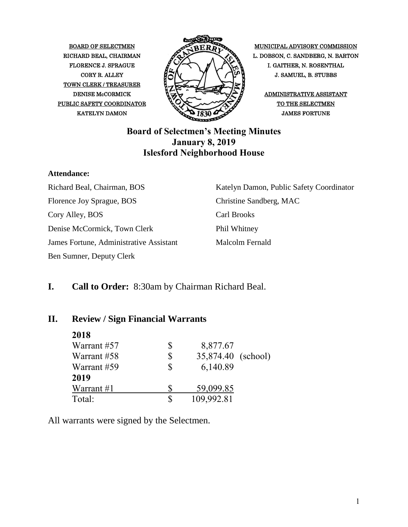TOWN CLERK / TREASURER PUBLIC SAFETY COORDINATOR  $\bigotimes \bigotimes$   $\bigotimes$  of the selectmen



BOARD OF SELECTMEN MUNICIPAL ADVISORY COMMISSION RICHARD BEAL, CHAIRMAN  $\overbrace{\mathscr{P}}$ FLORENCE J. SPRAGUE I. GAITHER, N. ROSENTHAL CORY R. ALLEY  $\parallel \sim N \sim N$  J. SAMUEL, B. STUBBS

DENISE McCORMICK  $\sqrt{2}$   $\sqrt{2}$  ADMINISTRATIVE ASSISTANT

#### **Board of Selectmen's Meeting Minutes January 8, 2019 Islesford Neighborhood House**

#### **Attendance:**

Richard Beal, Chairman, BOS Florence Joy Sprague, BOS Cory Alley, BOS Denise McCormick, Town Clerk James Fortune, Administrative Assistant Ben Sumner, Deputy Clerk

Katelyn Damon, Public Safety Coordinator Christine Sandberg, MAC Carl Brooks Phil Whitney Malcolm Fernald

### **I. Call to Order:** 8:30am by Chairman Richard Beal.

#### **II. Review / Sign Financial Warrants**

| 2018        |    |                    |  |
|-------------|----|--------------------|--|
| Warrant #57 | \$ | 8,877.67           |  |
| Warrant #58 | \$ | 35,874.40 (school) |  |
| Warrant #59 | S  | 6,140.89           |  |
| 2019        |    |                    |  |
| Warrant #1  |    | 59,099.85          |  |
| Total:      | S  | 109,992.81         |  |

All warrants were signed by the Selectmen.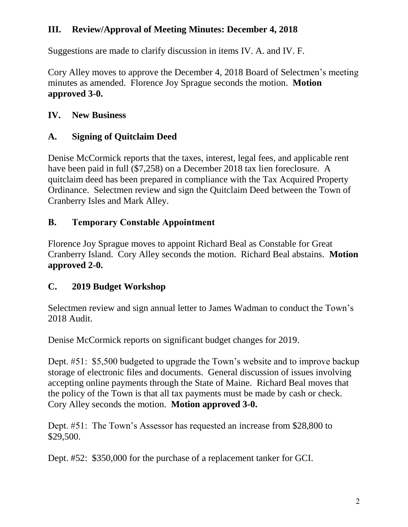### **III. Review/Approval of Meeting Minutes: December 4, 2018**

Suggestions are made to clarify discussion in items IV. A. and IV. F.

Cory Alley moves to approve the December 4, 2018 Board of Selectmen's meeting minutes as amended. Florence Joy Sprague seconds the motion. **Motion approved 3-0.**

### **IV. New Business**

## **A. Signing of Quitclaim Deed**

Denise McCormick reports that the taxes, interest, legal fees, and applicable rent have been paid in full (\$7,258) on a December 2018 tax lien foreclosure. A quitclaim deed has been prepared in compliance with the Tax Acquired Property Ordinance. Selectmen review and sign the Quitclaim Deed between the Town of Cranberry Isles and Mark Alley.

## **B. Temporary Constable Appointment**

Florence Joy Sprague moves to appoint Richard Beal as Constable for Great Cranberry Island. Cory Alley seconds the motion. Richard Beal abstains. **Motion approved 2-0.**

## **C. 2019 Budget Workshop**

Selectmen review and sign annual letter to James Wadman to conduct the Town's 2018 Audit.

Denise McCormick reports on significant budget changes for 2019.

Dept. #51: \$5,500 budgeted to upgrade the Town's website and to improve backup storage of electronic files and documents. General discussion of issues involving accepting online payments through the State of Maine. Richard Beal moves that the policy of the Town is that all tax payments must be made by cash or check. Cory Alley seconds the motion. **Motion approved 3-0.**

Dept. #51: The Town's Assessor has requested an increase from \$28,800 to \$29,500.

Dept. #52: \$350,000 for the purchase of a replacement tanker for GCI.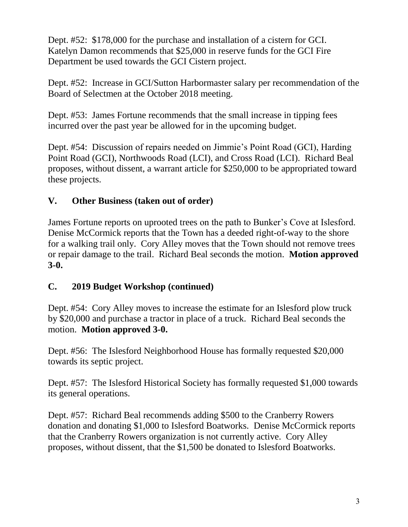Dept. #52: \$178,000 for the purchase and installation of a cistern for GCI. Katelyn Damon recommends that \$25,000 in reserve funds for the GCI Fire Department be used towards the GCI Cistern project.

Dept. #52: Increase in GCI/Sutton Harbormaster salary per recommendation of the Board of Selectmen at the October 2018 meeting.

Dept. #53: James Fortune recommends that the small increase in tipping fees incurred over the past year be allowed for in the upcoming budget.

Dept. #54: Discussion of repairs needed on Jimmie's Point Road (GCI), Harding Point Road (GCI), Northwoods Road (LCI), and Cross Road (LCI). Richard Beal proposes, without dissent, a warrant article for \$250,000 to be appropriated toward these projects.

### **V. Other Business (taken out of order)**

James Fortune reports on uprooted trees on the path to Bunker's Cove at Islesford. Denise McCormick reports that the Town has a deeded right-of-way to the shore for a walking trail only. Cory Alley moves that the Town should not remove trees or repair damage to the trail. Richard Beal seconds the motion. **Motion approved 3-0.**

### **C. 2019 Budget Workshop (continued)**

Dept. #54: Cory Alley moves to increase the estimate for an Islesford plow truck by \$20,000 and purchase a tractor in place of a truck. Richard Beal seconds the motion. **Motion approved 3-0.**

Dept. #56: The Islesford Neighborhood House has formally requested \$20,000 towards its septic project.

Dept. #57: The Islesford Historical Society has formally requested \$1,000 towards its general operations.

Dept. #57: Richard Beal recommends adding \$500 to the Cranberry Rowers donation and donating \$1,000 to Islesford Boatworks. Denise McCormick reports that the Cranberry Rowers organization is not currently active. Cory Alley proposes, without dissent, that the \$1,500 be donated to Islesford Boatworks.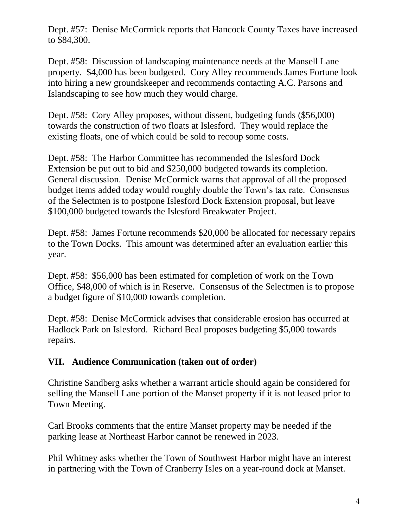Dept. #57: Denise McCormick reports that Hancock County Taxes have increased to \$84,300.

Dept. #58: Discussion of landscaping maintenance needs at the Mansell Lane property. \$4,000 has been budgeted. Cory Alley recommends James Fortune look into hiring a new groundskeeper and recommends contacting A.C. Parsons and Islandscaping to see how much they would charge.

Dept. #58: Cory Alley proposes, without dissent, budgeting funds (\$56,000) towards the construction of two floats at Islesford. They would replace the existing floats, one of which could be sold to recoup some costs.

Dept. #58: The Harbor Committee has recommended the Islesford Dock Extension be put out to bid and \$250,000 budgeted towards its completion. General discussion. Denise McCormick warns that approval of all the proposed budget items added today would roughly double the Town's tax rate. Consensus of the Selectmen is to postpone Islesford Dock Extension proposal, but leave \$100,000 budgeted towards the Islesford Breakwater Project.

Dept. #58: James Fortune recommends \$20,000 be allocated for necessary repairs to the Town Docks. This amount was determined after an evaluation earlier this year.

Dept. #58: \$56,000 has been estimated for completion of work on the Town Office, \$48,000 of which is in Reserve. Consensus of the Selectmen is to propose a budget figure of \$10,000 towards completion.

Dept. #58: Denise McCormick advises that considerable erosion has occurred at Hadlock Park on Islesford. Richard Beal proposes budgeting \$5,000 towards repairs.

### **VII. Audience Communication (taken out of order)**

Christine Sandberg asks whether a warrant article should again be considered for selling the Mansell Lane portion of the Manset property if it is not leased prior to Town Meeting.

Carl Brooks comments that the entire Manset property may be needed if the parking lease at Northeast Harbor cannot be renewed in 2023.

Phil Whitney asks whether the Town of Southwest Harbor might have an interest in partnering with the Town of Cranberry Isles on a year-round dock at Manset.